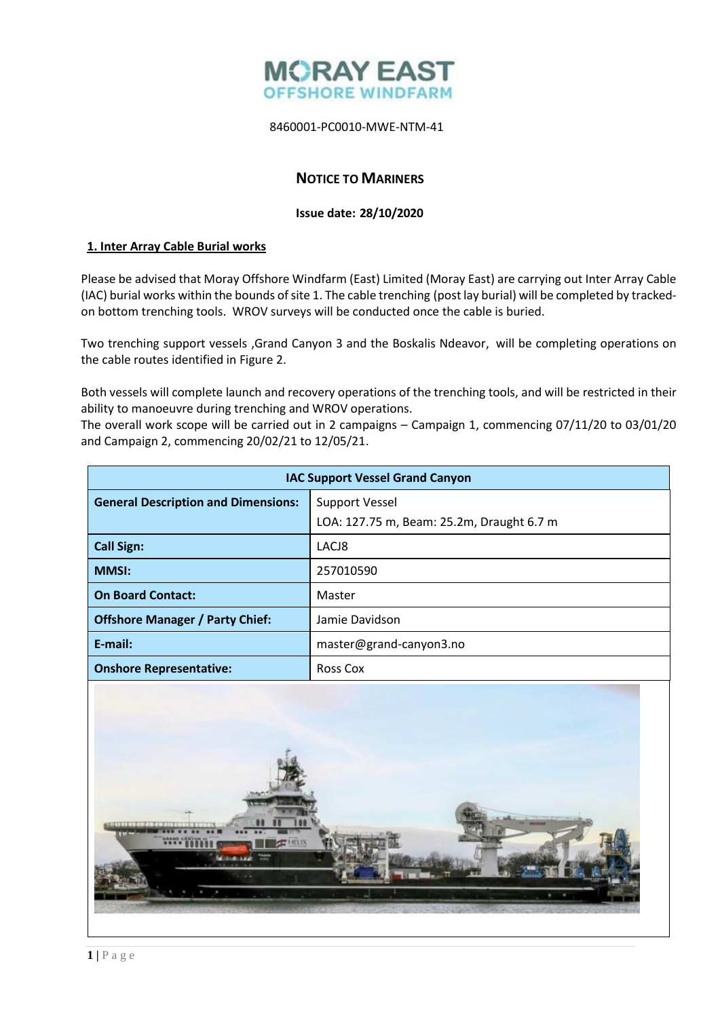

8460001-PC0010-MWE-NTM-41

# **NOTICE TO MARINERS**

#### **Issue date: 28/10/2020**

#### **1. Inter Array Cable Burial works**

Please be advised that Moray Offshore Windfarm (East) Limited (Moray East) are carrying out Inter Array Cable (IAC) burial works within the bounds of site 1. The cable trenching (post lay burial) will be completed by trackedon bottom trenching tools. WROV surveys will be conducted once the cable is buried.

Two trenching support vessels ,Grand Canyon 3 and the Boskalis Ndeavor, will be completing operations on the cable routes identified in Figure 2.

Both vessels will complete launch and recovery operations of the trenching tools, and will be restricted in their ability to manoeuvre during trenching and WROV operations.

The overall work scope will be carried out in 2 campaigns – Campaign 1, commencing 07/11/20 to 03/01/20 and Campaign 2, commencing 20/02/21 to 12/05/21.

| <b>IAC Support Vessel Grand Canyon</b>     |                                           |
|--------------------------------------------|-------------------------------------------|
| <b>General Description and Dimensions:</b> | Support Vessel                            |
|                                            | LOA: 127.75 m, Beam: 25.2m, Draught 6.7 m |
| <b>Call Sign:</b>                          | LACJ8                                     |
| <b>MMSI:</b>                               | 257010590                                 |
| <b>On Board Contact:</b>                   | Master                                    |
| <b>Offshore Manager / Party Chief:</b>     | Jamie Davidson                            |
| $E$ -mail:                                 | master@grand-canyon3.no                   |
| <b>Onshore Representative:</b>             | <b>Ross Cox</b>                           |

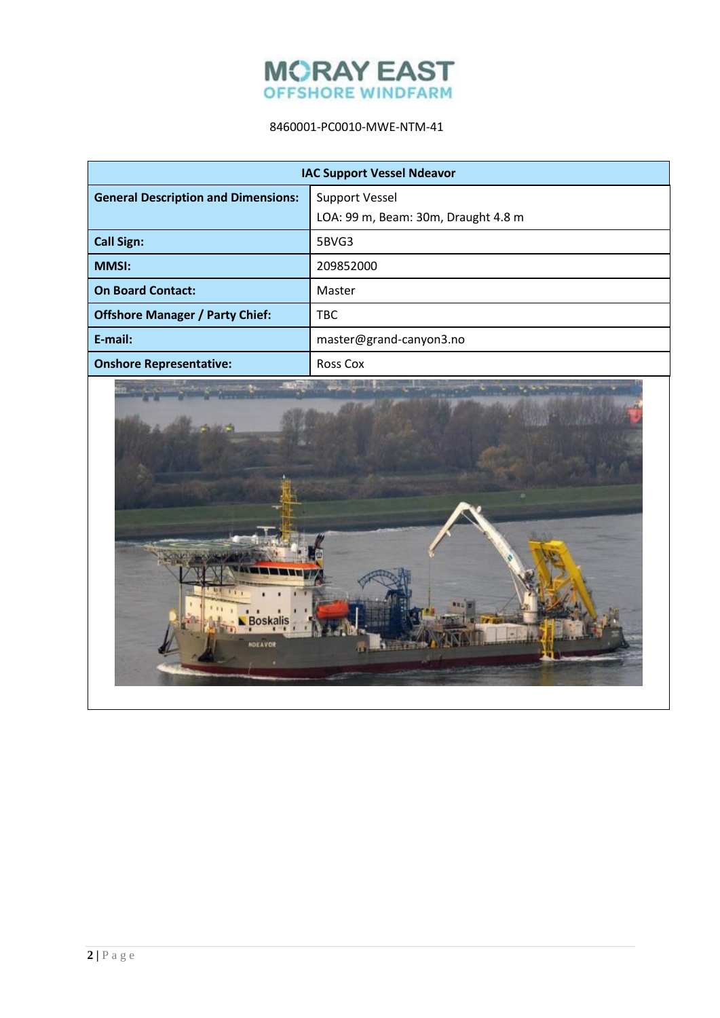

# 8460001-PC0010-MWE-NTM-41

| <b>IAC Support Vessel Ndeavor</b>          |                                     |  |
|--------------------------------------------|-------------------------------------|--|
| <b>General Description and Dimensions:</b> | <b>Support Vessel</b>               |  |
|                                            | LOA: 99 m, Beam: 30m, Draught 4.8 m |  |
| <b>Call Sign:</b>                          | 5BVG3                               |  |
| <b>MMSI:</b>                               | 209852000                           |  |
| <b>On Board Contact:</b>                   | Master                              |  |
| <b>Offshore Manager / Party Chief:</b>     | <b>TBC</b>                          |  |
| E-mail:                                    | master@grand-canyon3.no             |  |
| <b>Onshore Representative:</b>             | <b>Ross Cox</b>                     |  |

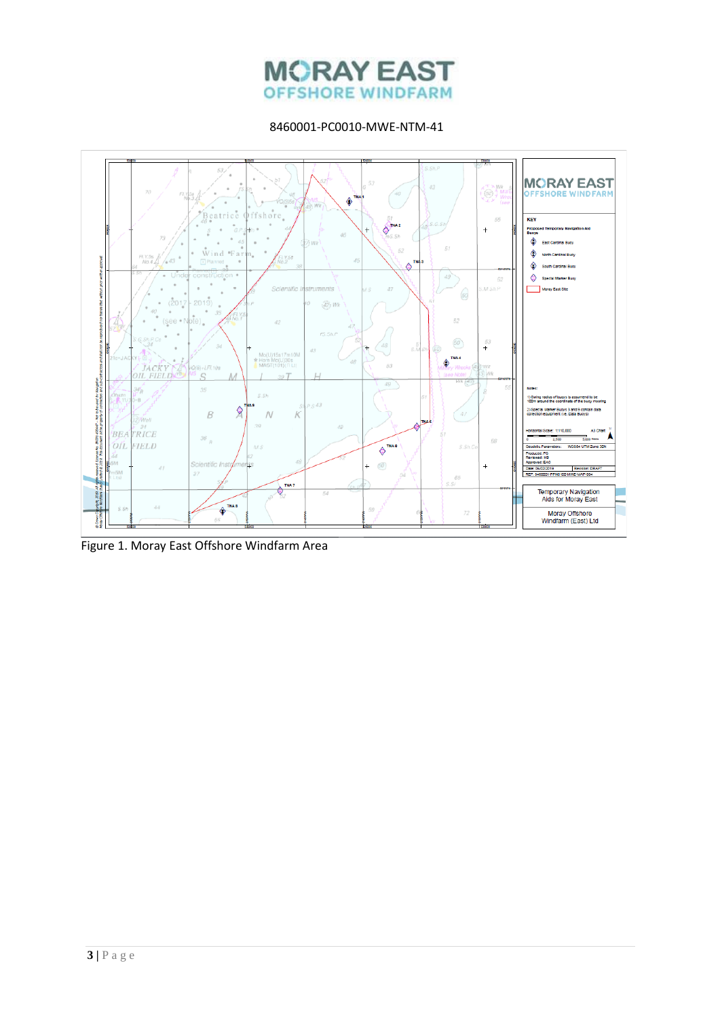# **MORAY EAST OFFSHORE WINDFARM**

8460001-PC0010-MWE-NTM-41



Figure 1. Moray East Offshore Windfarm Area